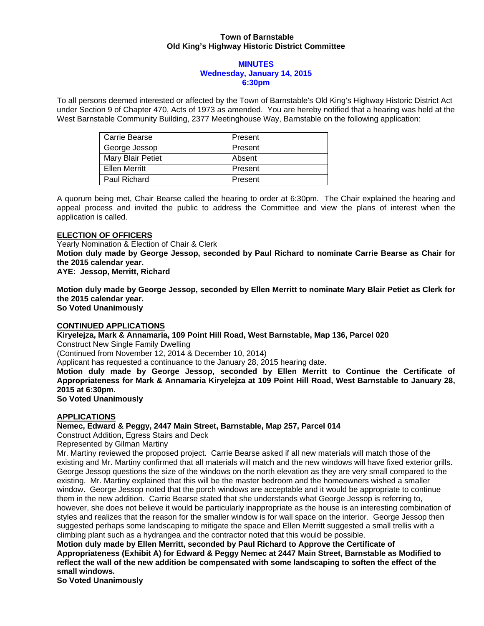### **Town of Barnstable Old King's Highway Historic District Committee**

#### **MINUTES Wednesday, January 14, 2015 6:30pm**

To all persons deemed interested or affected by the Town of Barnstable's Old King's Highway Historic District Act under Section 9 of Chapter 470, Acts of 1973 as amended. You are hereby notified that a hearing was held at the West Barnstable Community Building, 2377 Meetinghouse Way, Barnstable on the following application:

| Carrie Bearse     | Present |
|-------------------|---------|
| George Jessop     | Present |
| Mary Blair Petiet | Absent  |
| Ellen Merritt     | Present |
| Paul Richard      | Present |

A quorum being met, Chair Bearse called the hearing to order at 6:30pm. The Chair explained the hearing and appeal process and invited the public to address the Committee and view the plans of interest when the application is called.

### **ELECTION OF OFFICERS**

Yearly Nomination & Election of Chair & Clerk **Motion duly made by George Jessop, seconded by Paul Richard to nominate Carrie Bearse as Chair for the 2015 calendar year. AYE: Jessop, Merritt, Richard** 

**Motion duly made by George Jessop, seconded by Ellen Merritt to nominate Mary Blair Petiet as Clerk for the 2015 calendar year. So Voted Unanimously** 

**CONTINUED APPLICATIONS** 

**Kiryelejza, Mark & Annamaria, 109 Point Hill Road, West Barnstable, Map 136, Parcel 020** 

Construct New Single Family Dwelling

(Continued from November 12, 2014 & December 10, 2014)

Applicant has requested a continuance to the January 28, 2015 hearing date.

**Motion duly made by George Jessop, seconded by Ellen Merritt to Continue the Certificate of Appropriateness for Mark & Annamaria Kiryelejza at 109 Point Hill Road, West Barnstable to January 28, 2015 at 6:30pm.** 

**So Voted Unanimously** 

# **APPLICATIONS**

**Nemec, Edward & Peggy, 2447 Main Street, Barnstable, Map 257, Parcel 014** 

Construct Addition, Egress Stairs and Deck

Represented by Gilman Martiny

Mr. Martiny reviewed the proposed project. Carrie Bearse asked if all new materials will match those of the existing and Mr. Martiny confirmed that all materials will match and the new windows will have fixed exterior grills. George Jessop questions the size of the windows on the north elevation as they are very small compared to the existing. Mr. Martiny explained that this will be the master bedroom and the homeowners wished a smaller window. George Jessop noted that the porch windows are acceptable and it would be appropriate to continue them in the new addition. Carrie Bearse stated that she understands what George Jessop is referring to, however, she does not believe it would be particularly inappropriate as the house is an interesting combination of styles and realizes that the reason for the smaller window is for wall space on the interior. George Jessop then suggested perhaps some landscaping to mitigate the space and Ellen Merritt suggested a small trellis with a climbing plant such as a hydrangea and the contractor noted that this would be possible.

**Motion duly made by Ellen Merritt, seconded by Paul Richard to Approve the Certificate of Appropriateness (Exhibit A) for Edward & Peggy Nemec at 2447 Main Street, Barnstable as Modified to reflect the wall of the new addition be compensated with some landscaping to soften the effect of the small windows.** 

**So Voted Unanimously**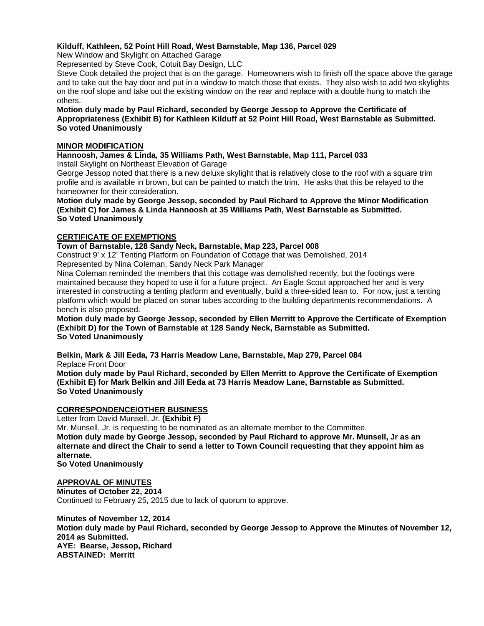## **Kilduff, Kathleen, 52 Point Hill Road, West Barnstable, Map 136, Parcel 029**

New Window and Skylight on Attached Garage

Represented by Steve Cook, Cotuit Bay Design, LLC

Steve Cook detailed the project that is on the garage. Homeowners wish to finish off the space above the garage and to take out the hay door and put in a window to match those that exists. They also wish to add two skylights on the roof slope and take out the existing window on the rear and replace with a double hung to match the others.

#### **Motion duly made by Paul Richard, seconded by George Jessop to Approve the Certificate of Appropriateness (Exhibit B) for Kathleen Kilduff at 52 Point Hill Road, West Barnstable as Submitted. So voted Unanimously**

### **MINOR MODIFICATION**

**Hannoosh, James & Linda, 35 Williams Path, West Barnstable, Map 111, Parcel 033**  Install Skylight on Northeast Elevation of Garage

George Jessop noted that there is a new deluxe skylight that is relatively close to the roof with a square trim profile and is available in brown, but can be painted to match the trim. He asks that this be relayed to the homeowner for their consideration.

**Motion duly made by George Jessop, seconded by Paul Richard to Approve the Minor Modification (Exhibit C) for James & Linda Hannoosh at 35 Williams Path, West Barnstable as Submitted. So Voted Unanimously** 

## **CERTIFICATE OF EXEMPTIONS**

**Town of Barnstable, 128 Sandy Neck, Barnstable, Map 223, Parcel 008** 

Construct 9' x 12' Tenting Platform on Foundation of Cottage that was Demolished, 2014

Represented by Nina Coleman, Sandy Neck Park Manager

Nina Coleman reminded the members that this cottage was demolished recently, but the footings were maintained because they hoped to use it for a future project. An Eagle Scout approached her and is very interested in constructing a tenting platform and eventually, build a three-sided lean to. For now, just a tenting platform which would be placed on sonar tubes according to the building departments recommendations. A bench is also proposed.

**Motion duly made by George Jessop, seconded by Ellen Merritt to Approve the Certificate of Exemption (Exhibit D) for the Town of Barnstable at 128 Sandy Neck, Barnstable as Submitted. So Voted Unanimously** 

**Belkin, Mark & Jill Eeda, 73 Harris Meadow Lane, Barnstable, Map 279, Parcel 084**  Replace Front Door

**Motion duly made by Paul Richard, seconded by Ellen Merritt to Approve the Certificate of Exemption (Exhibit E) for Mark Belkin and Jill Eeda at 73 Harris Meadow Lane, Barnstable as Submitted. So Voted Unanimously** 

# **CORRESPONDENCE/OTHER BUSINESS**

Letter from David Munsell, Jr. **(Exhibit F)** 

Mr. Munsell, Jr. is requesting to be nominated as an alternate member to the Committee.

**Motion duly made by George Jessop, seconded by Paul Richard to approve Mr. Munsell, Jr as an alternate and direct the Chair to send a letter to Town Council requesting that they appoint him as alternate.** 

**So Voted Unanimously** 

# **APPROVAL OF MINUTES**

**Minutes of October 22, 2014**  Continued to February 25, 2015 due to lack of quorum to approve.

**Minutes of November 12, 2014 Motion duly made by Paul Richard, seconded by George Jessop to Approve the Minutes of November 12, 2014 as Submitted. AYE: Bearse, Jessop, Richard ABSTAINED: Merritt**